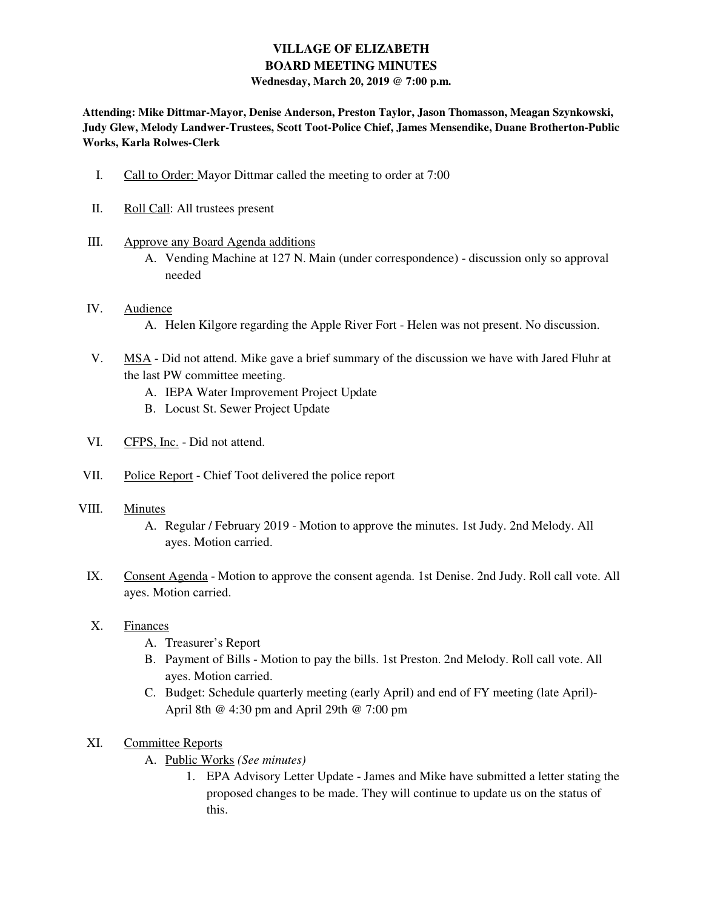# **VILLAGE OF ELIZABETH BOARD MEETING MINUTES Wednesday, March 20, 2019 @ 7:00 p.m.**

**Attending: Mike Dittmar-Mayor, Denise Anderson, Preston Taylor, Jason Thomasson, Meagan Szynkowski, Judy Glew, Melody Landwer-Trustees, Scott Toot-Police Chief, James Mensendike, Duane Brotherton-Public Works, Karla Rolwes-Clerk** 

- I. Call to Order: Mayor Dittmar called the meeting to order at 7:00
- II. Roll Call: All trustees present
- III. Approve any Board Agenda additions
	- A. Vending Machine at 127 N. Main (under correspondence) discussion only so approval needed
- IV. Audience A. Helen Kilgore regarding the Apple River Fort - Helen was not present. No discussion.
- V. MSA Did not attend. Mike gave a brief summary of the discussion we have with Jared Fluhr at the last PW committee meeting.
	- A. IEPA Water Improvement Project Update
	- B. Locust St. Sewer Project Update
- VI. CFPS, Inc. Did not attend.
- VII. Police Report Chief Toot delivered the police report
- VIII. Minutes
	- A. Regular / February 2019 Motion to approve the minutes. 1st Judy. 2nd Melody. All ayes. Motion carried.
	- IX. Consent Agenda Motion to approve the consent agenda. 1st Denise. 2nd Judy. Roll call vote. All ayes. Motion carried.
	- X. Finances
		- A. Treasurer's Report
		- B. Payment of Bills Motion to pay the bills. 1st Preston. 2nd Melody. Roll call vote. All ayes. Motion carried.
		- C. Budget: Schedule quarterly meeting (early April) and end of FY meeting (late April)- April 8th @ 4:30 pm and April 29th @ 7:00 pm
	- XI. Committee Reports
		- A. Public Works *(See minutes)*
			- 1. EPA Advisory Letter Update James and Mike have submitted a letter stating the proposed changes to be made. They will continue to update us on the status of this.